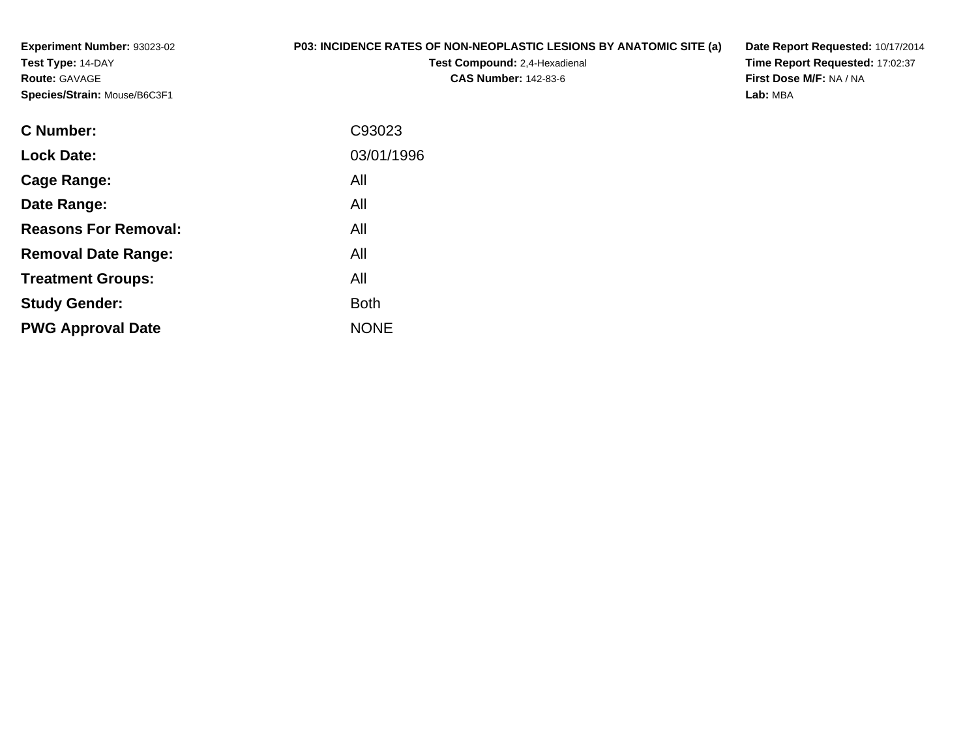**Experiment Number:** 93023-02**Test Type:** 14-DAY**Route:** GAVAGE**Species/Strain:** Mouse/B6C3F1

## **P03: INCIDENCE RATES OF NON-NEOPLASTIC LESIONS BY ANATOMIC SITE (a)**

**Test Compound:** 2,4-Hexadienal **CAS Number:** 142-83-6

**Date Report Requested:** 10/17/2014 **Time Report Requested:** 17:02:37**First Dose M/F:** NA / NA**Lab:** MBA

| <b>C</b> Number:            | C93023      |
|-----------------------------|-------------|
| <b>Lock Date:</b>           | 03/01/1996  |
| Cage Range:                 | All         |
| Date Range:                 | All         |
| <b>Reasons For Removal:</b> | All         |
| <b>Removal Date Range:</b>  | All         |
| <b>Treatment Groups:</b>    | All         |
| <b>Study Gender:</b>        | <b>Both</b> |
| <b>PWG Approval Date</b>    | <b>NONE</b> |
|                             |             |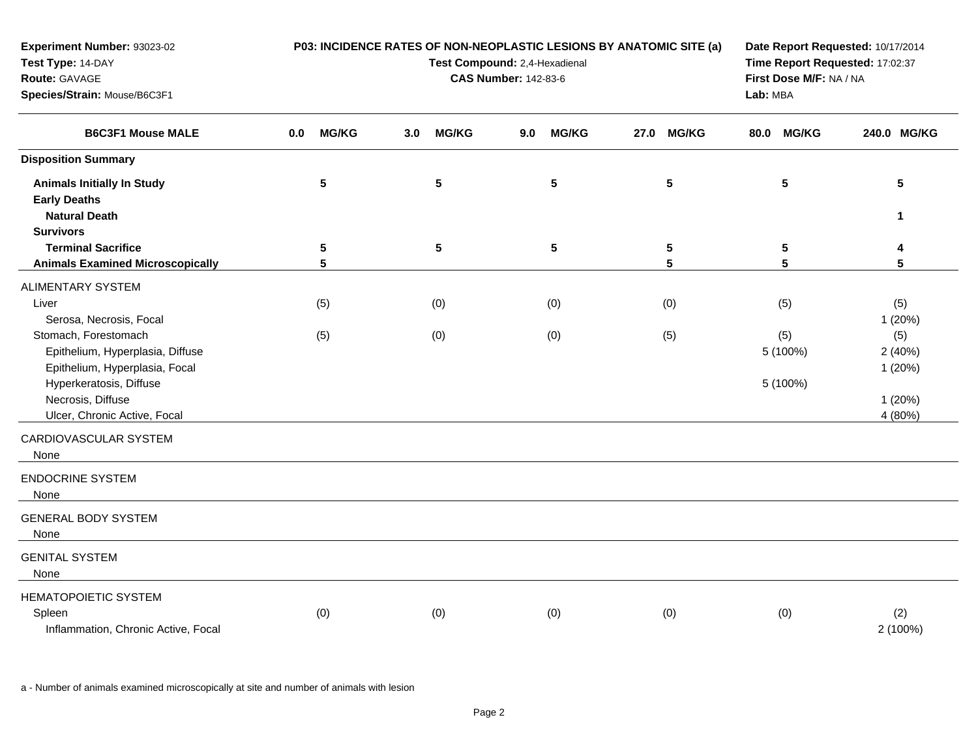| Experiment Number: 93023-02<br>Test Type: 14-DAY<br>Route: GAVAGE<br>Species/Strain: Mouse/B6C3F1                                                                          | P03: INCIDENCE RATES OF NON-NEOPLASTIC LESIONS BY ANATOMIC SITE (a)<br>Test Compound: 2,4-Hexadienal<br><b>CAS Number: 142-83-6</b> |              |                  |                |     |                 | Date Report Requested: 10/17/2014<br>Time Report Requested: 17:02:37<br>First Dose M/F: NA / NA<br>Lab: MBA |                 |      |                             |                                              |
|----------------------------------------------------------------------------------------------------------------------------------------------------------------------------|-------------------------------------------------------------------------------------------------------------------------------------|--------------|------------------|----------------|-----|-----------------|-------------------------------------------------------------------------------------------------------------|-----------------|------|-----------------------------|----------------------------------------------|
| <b>B6C3F1 Mouse MALE</b>                                                                                                                                                   | 0.0                                                                                                                                 | <b>MG/KG</b> | 3.0 <sub>1</sub> | <b>MG/KG</b>   | 9.0 | <b>MG/KG</b>    | 27.0                                                                                                        | <b>MG/KG</b>    | 80.0 | <b>MG/KG</b>                | 240.0 MG/KG                                  |
| <b>Disposition Summary</b>                                                                                                                                                 |                                                                                                                                     |              |                  |                |     |                 |                                                                                                             |                 |      |                             |                                              |
| <b>Animals Initially In Study</b><br><b>Early Deaths</b><br><b>Natural Death</b>                                                                                           |                                                                                                                                     | 5            |                  | $5\phantom{1}$ |     | $5\phantom{.0}$ |                                                                                                             | $5\phantom{.0}$ |      | 5                           | $5\phantom{.0}$<br>1                         |
| <b>Survivors</b>                                                                                                                                                           |                                                                                                                                     |              |                  |                |     |                 |                                                                                                             |                 |      |                             |                                              |
| <b>Terminal Sacrifice</b><br><b>Animals Examined Microscopically</b>                                                                                                       |                                                                                                                                     | 5<br>5       |                  | ${\bf 5}$      |     | ${\bf 5}$       |                                                                                                             | 5<br>5          |      | 5<br>5                      | 4<br>5                                       |
| ALIMENTARY SYSTEM<br>Liver<br>Serosa, Necrosis, Focal                                                                                                                      |                                                                                                                                     | (5)          |                  | (0)            |     | (0)             |                                                                                                             | (0)             |      | (5)                         | (5)<br>1 (20%)                               |
| Stomach, Forestomach<br>Epithelium, Hyperplasia, Diffuse<br>Epithelium, Hyperplasia, Focal<br>Hyperkeratosis, Diffuse<br>Necrosis, Diffuse<br>Ulcer, Chronic Active, Focal |                                                                                                                                     | (5)          |                  | (0)            |     | (0)             |                                                                                                             | (5)             |      | (5)<br>5 (100%)<br>5 (100%) | (5)<br>2(40%)<br>1(20%)<br>1(20%)<br>4 (80%) |
| CARDIOVASCULAR SYSTEM<br>None                                                                                                                                              |                                                                                                                                     |              |                  |                |     |                 |                                                                                                             |                 |      |                             |                                              |
| <b>ENDOCRINE SYSTEM</b><br>None                                                                                                                                            |                                                                                                                                     |              |                  |                |     |                 |                                                                                                             |                 |      |                             |                                              |
| <b>GENERAL BODY SYSTEM</b><br>None                                                                                                                                         |                                                                                                                                     |              |                  |                |     |                 |                                                                                                             |                 |      |                             |                                              |
| <b>GENITAL SYSTEM</b><br>None                                                                                                                                              |                                                                                                                                     |              |                  |                |     |                 |                                                                                                             |                 |      |                             |                                              |
| HEMATOPOIETIC SYSTEM<br>Spleen<br>Inflammation, Chronic Active, Focal                                                                                                      |                                                                                                                                     | (0)          |                  | (0)            |     | (0)             |                                                                                                             | (0)             |      | (0)                         | (2)<br>2 (100%)                              |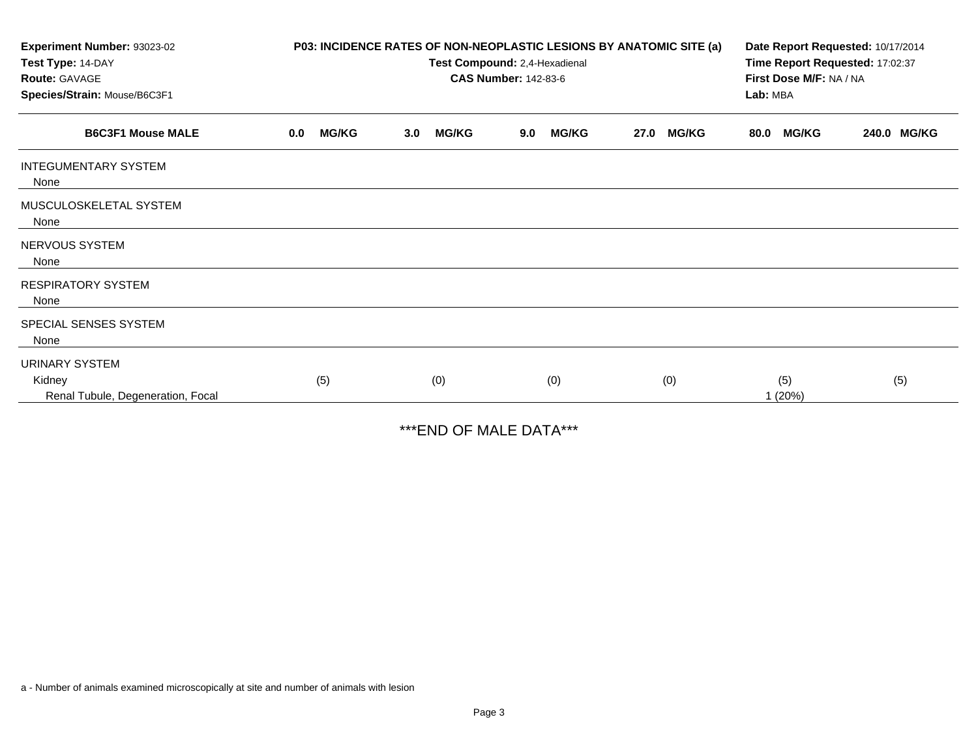| Experiment Number: 93023-02<br>Test Type: 14-DAY<br>Route: GAVAGE |                     | P03: INCIDENCE RATES OF NON-NEOPLASTIC LESIONS BY ANATOMIC SITE (a)<br>Test Compound: 2,4-Hexadienal<br><b>CAS Number: 142-83-6</b> | Date Report Requested: 10/17/2014<br>Time Report Requested: 17:02:37<br>First Dose M/F: NA / NA |                      |                      |             |
|-------------------------------------------------------------------|---------------------|-------------------------------------------------------------------------------------------------------------------------------------|-------------------------------------------------------------------------------------------------|----------------------|----------------------|-------------|
| Species/Strain: Mouse/B6C3F1                                      |                     |                                                                                                                                     |                                                                                                 |                      | Lab: MBA             |             |
| <b>B6C3F1 Mouse MALE</b>                                          | <b>MG/KG</b><br>0.0 | <b>MG/KG</b><br>3.0                                                                                                                 | <b>MG/KG</b><br>9.0                                                                             | <b>MG/KG</b><br>27.0 | <b>MG/KG</b><br>80.0 | 240.0 MG/KG |
| <b>INTEGUMENTARY SYSTEM</b><br>None                               |                     |                                                                                                                                     |                                                                                                 |                      |                      |             |
| MUSCULOSKELETAL SYSTEM<br>None                                    |                     |                                                                                                                                     |                                                                                                 |                      |                      |             |
| NERVOUS SYSTEM<br>None                                            |                     |                                                                                                                                     |                                                                                                 |                      |                      |             |
| <b>RESPIRATORY SYSTEM</b><br>None                                 |                     |                                                                                                                                     |                                                                                                 |                      |                      |             |
| SPECIAL SENSES SYSTEM<br>None                                     |                     |                                                                                                                                     |                                                                                                 |                      |                      |             |
| <b>URINARY SYSTEM</b>                                             |                     |                                                                                                                                     |                                                                                                 |                      |                      |             |
| Kidney<br>Renal Tubule, Degeneration, Focal                       | (5)                 | (0)                                                                                                                                 | (0)                                                                                             | (0)                  | (5)<br>1(20%)        | (5)         |

\*\*\*END OF MALE DATA\*\*\*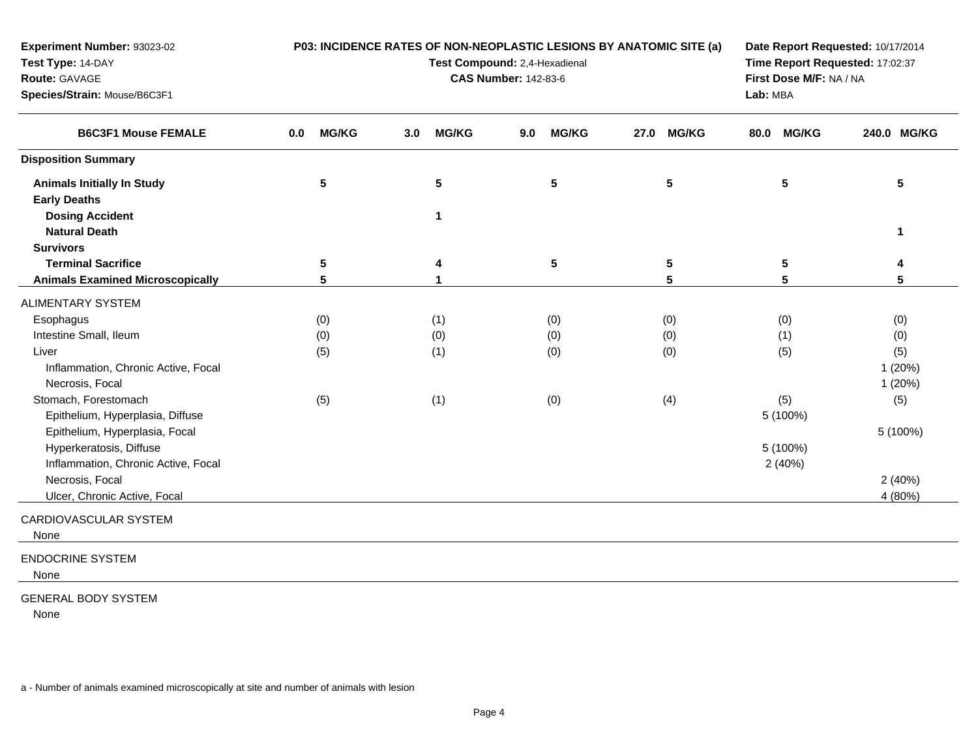| <b>Experiment Number: 93023-02</b><br>Test Type: 14-DAY<br>Route: GAVAGE<br>Species/Strain: Mouse/B6C3F1 |                     | P03: INCIDENCE RATES OF NON-NEOPLASTIC LESIONS BY ANATOMIC SITE (a)<br>Test Compound: 2,4-Hexadienal<br><b>CAS Number: 142-83-6</b> | Date Report Requested: 10/17/2014<br>Time Report Requested: 17:02:37<br>First Dose M/F: NA / NA<br>Lab: MBA |                      |                      |             |
|----------------------------------------------------------------------------------------------------------|---------------------|-------------------------------------------------------------------------------------------------------------------------------------|-------------------------------------------------------------------------------------------------------------|----------------------|----------------------|-------------|
| <b>B6C3F1 Mouse FEMALE</b>                                                                               | <b>MG/KG</b><br>0.0 | <b>MG/KG</b><br>3.0                                                                                                                 | <b>MG/KG</b><br>9.0                                                                                         | <b>MG/KG</b><br>27.0 | <b>MG/KG</b><br>80.0 | 240.0 MG/KG |
| <b>Disposition Summary</b>                                                                               |                     |                                                                                                                                     |                                                                                                             |                      |                      |             |
| <b>Animals Initially In Study</b><br><b>Early Deaths</b>                                                 | 5                   | 5                                                                                                                                   | 5                                                                                                           | 5                    | 5                    | 5           |
| <b>Dosing Accident</b><br><b>Natural Death</b>                                                           |                     | 1                                                                                                                                   |                                                                                                             |                      |                      | 1           |
| <b>Survivors</b>                                                                                         |                     |                                                                                                                                     |                                                                                                             |                      |                      |             |
| <b>Terminal Sacrifice</b>                                                                                | 5                   | 4                                                                                                                                   | 5                                                                                                           | 5                    | 5                    | 4           |
| <b>Animals Examined Microscopically</b>                                                                  | 5                   |                                                                                                                                     |                                                                                                             | 5                    | 5                    | 5           |
| <b>ALIMENTARY SYSTEM</b>                                                                                 |                     |                                                                                                                                     |                                                                                                             |                      |                      |             |
| Esophagus                                                                                                | (0)                 | (1)                                                                                                                                 | (0)                                                                                                         | (0)                  | (0)                  | (0)         |
| Intestine Small, Ileum                                                                                   | (0)                 | (0)                                                                                                                                 | (0)                                                                                                         | (0)                  | (1)                  | (0)         |
| Liver                                                                                                    | (5)                 | (1)                                                                                                                                 | (0)                                                                                                         | (0)                  | (5)                  | (5)         |
| Inflammation, Chronic Active, Focal                                                                      |                     |                                                                                                                                     |                                                                                                             |                      |                      | 1(20%)      |
| Necrosis, Focal                                                                                          |                     |                                                                                                                                     |                                                                                                             |                      |                      | 1(20%)      |
| Stomach, Forestomach<br>Epithelium, Hyperplasia, Diffuse                                                 | (5)                 | (1)                                                                                                                                 | (0)                                                                                                         | (4)                  | (5)<br>5 (100%)      | (5)         |
| Epithelium, Hyperplasia, Focal                                                                           |                     |                                                                                                                                     |                                                                                                             |                      |                      | 5 (100%)    |
| Hyperkeratosis, Diffuse                                                                                  |                     |                                                                                                                                     |                                                                                                             |                      | 5 (100%)             |             |
| Inflammation, Chronic Active, Focal                                                                      |                     |                                                                                                                                     |                                                                                                             |                      | 2(40%)               |             |
| Necrosis, Focal                                                                                          |                     |                                                                                                                                     |                                                                                                             |                      |                      | 2(40%)      |
| Ulcer, Chronic Active, Focal                                                                             |                     |                                                                                                                                     |                                                                                                             |                      |                      | 4 (80%)     |
| CARDIOVASCULAR SYSTEM<br>None                                                                            |                     |                                                                                                                                     |                                                                                                             |                      |                      |             |
| <b>ENDOCRINE SYSTEM</b><br>None                                                                          |                     |                                                                                                                                     |                                                                                                             |                      |                      |             |

## GENERAL BODY SYSTEM

None